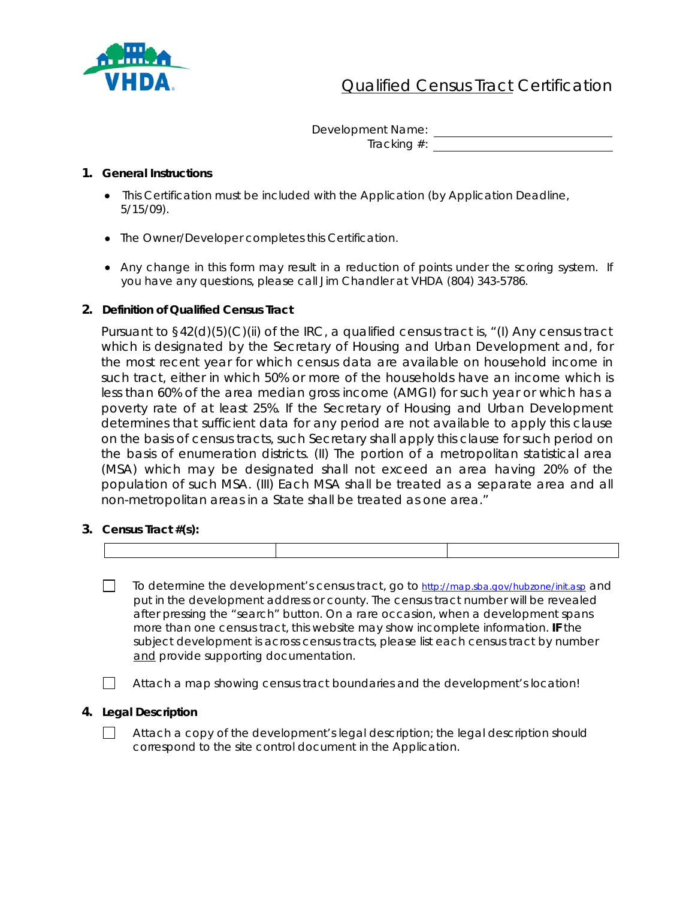

# **Qualified Census Tract Certification**

Development Name:

Tracking #:

#### **1. General Instructions**

- This Certification must be included with the Application (by Application Deadline, 5/15/09).
- The Owner/Developer completes this Certification.
- Any change in this form may result in a reduction of points under the scoring system. If you have any questions, please call Jim Chandler at VHDA (804) 343-5786.

## **2. Definition of Qualified Census Tract**

Pursuant to §42(d)(5)(C)(ii) of the IRC, a qualified census tract is, "(I) Any census tract which is designated by the Secretary of Housing and Urban Development and, for the most recent year for which census data are available on household income in such tract, either in which 50% or more of the households have an income which is less than 60% of the area median gross income (AMGI) for such year or which has a poverty rate of at least 25%. If the Secretary of Housing and Urban Development determines that sufficient data for any period are not available to apply this clause on the basis of census tracts, such Secretary shall apply this clause for such period on the basis of enumeration districts. (II) The portion of a metropolitan statistical area (MSA) which may be designated shall not exceed an area having 20% of the population of such MSA. (III) Each MSA shall be treated as a separate area and all non-metropolitan areas in a State shall be treated as one area."

**3. Census Tract #(s):**

- $\Box$  To determine the development's census tract, go to <http://map.sba.gov/hubzone/init.asp> and put in the development address or county. The census tract number will be revealed after pressing the "search" button. On a rare occasion, when a development spans more than one census tract, this website may show incomplete information. **IF** the subject development is across census tracts, please list each census tract by number and provide supporting documentation.
	- Attach a map showing census tract boundaries and the development's location!

#### **4. Legal Description**

 $\Box$  Attach a copy of the development's legal description; the legal description should correspond to the site control document in the Application.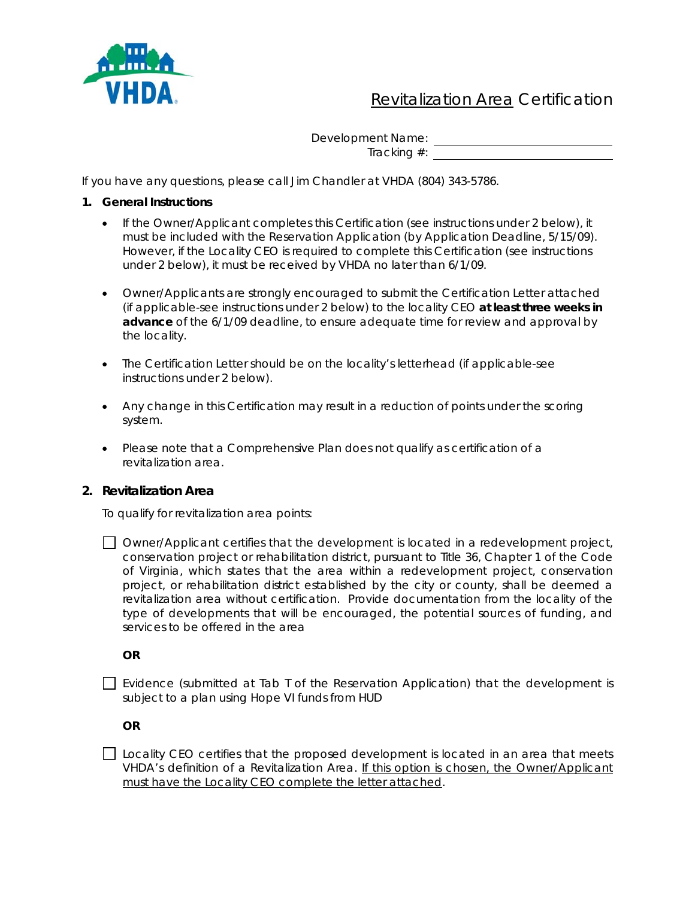

## Revitalization Area Certification

Development Name:

Tracking #:

If you have any questions, please call Jim Chandler at VHDA (804) 343-5786.

- **1. General Instructions** 
	- If the Owner/Applicant completes this Certification (see instructions under 2 below), it must be included with the Reservation Application (by Application Deadline, 5/15/09). However, if the Locality CEO is required to complete this Certification (see instructions under 2 below), it must be received by VHDA no later than 6/1/09.
	- Owner/Applicants are strongly encouraged to submit the Certification Letter attached (if applicable-see instructions under 2 below) to the locality CEO **at least three weeks in advance** of the 6/1/09 deadline, to ensure adequate time for review and approval by the locality.
	- The Certification Letter should be on the locality's letterhead (if applicable-see instructions under 2 below).
	- Any change in this Certification may result in a reduction of points under the scoring system.
	- Please note that a Comprehensive Plan does not qualify as certification of a revitalization area.

## **2. Revitalization Area**

To qualify for revitalization area points:

 $\Box$  Owner/Applicant certifies that the development is located in a redevelopment project, conservation project or rehabilitation district, pursuant to Title 36, Chapter 1 of the Code of Virginia, which states that the area within a redevelopment project, conservation project, or rehabilitation district established by the city or county, shall be deemed a revitalization area without certification. Provide documentation from the locality of the type of developments that will be encouraged, the potential sources of funding, and services to be offered in the area

**OR** 

 $\Box$  Evidence (submitted at Tab T of the Reservation Application) that the development is subject to a plan using Hope VI funds from HUD

**OR** 

 $\Box$  Locality CEO certifies that the proposed development is located in an area that meets VHDA's definition of a Revitalization Area. If this option is chosen, the Owner/Applicant must have the Locality CEO complete the letter attached.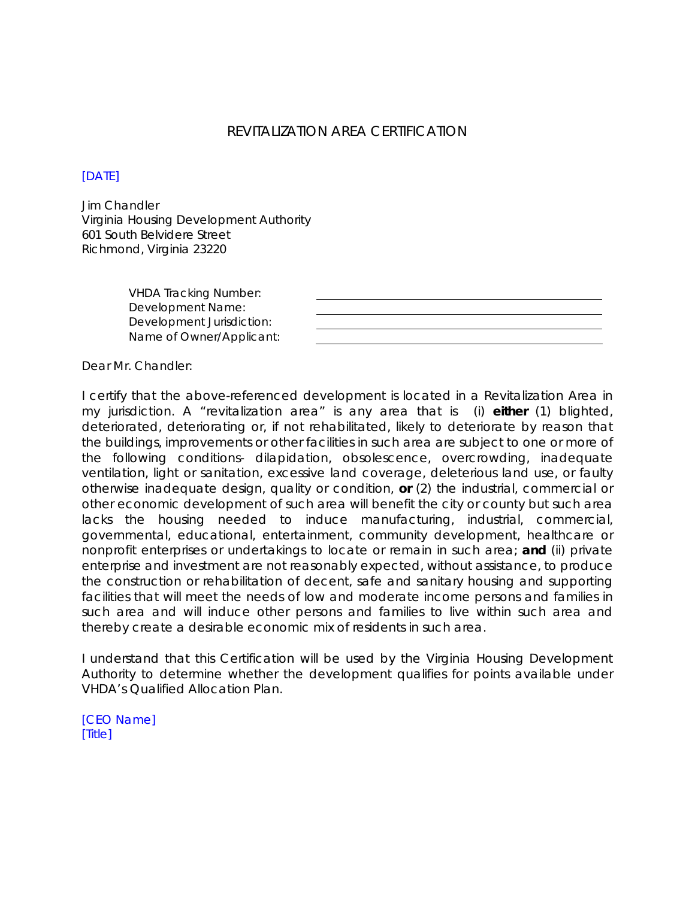## REVITALIZATION AREA CERTIFICATION

### [DATE]

Jim Chandler Virginia Housing Development Authority 601 South Belvidere Street Richmond, Virginia 23220

> VHDA Tracking Number: Development Name: Development Jurisdiction: Name of Owner/Applicant:

Dear Mr. Chandler:

I certify that the above-referenced development is located in a Revitalization Area in my jurisdiction. A "revitalization area" is any area that is (i) **either** (1) blighted, deteriorated, deteriorating or, if not rehabilitated, likely to deteriorate by reason that the buildings, improvements or other facilities in such area are subject to one or more of the following conditions- dilapidation, obsolescence, overcrowding, inadequate ventilation, light or sanitation, excessive land coverage, deleterious land use, or faulty otherwise inadequate design, quality or condition, **or** (2) the industrial, commercial or other economic development of such area will benefit the city or county but such area lacks the housing needed to induce manufacturing, industrial, commercial, governmental, educational, entertainment, community development, healthcare or nonprofit enterprises or undertakings to locate or remain in such area; **and** (ii) private enterprise and investment are not reasonably expected, without assistance, to produce the construction or rehabilitation of decent, safe and sanitary housing and supporting facilities that will meet the needs of low and moderate income persons and families in such area and will induce other persons and families to live within such area and thereby create a desirable economic mix of residents in such area.

I understand that this Certification will be used by the Virginia Housing Development Authority to determine whether the development qualifies for points available under VHDA's Qualified Allocation Plan.

[CEO Name] [Title]